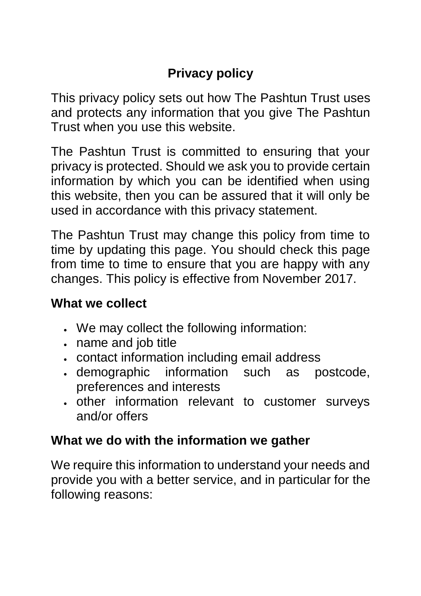# **Privacy policy**

This privacy policy sets out how The Pashtun Trust uses and protects any information that you give The Pashtun Trust when you use this website.

The Pashtun Trust is committed to ensuring that your privacy is protected. Should we ask you to provide certain information by which you can be identified when using this website, then you can be assured that it will only be used in accordance with this privacy statement.

The Pashtun Trust may change this policy from time to time by updating this page. You should check this page from time to time to ensure that you are happy with any changes. This policy is effective from November 2017.

#### **What we collect**

- We may collect the following information:
- name and job title
- contact information including email address
- demographic information such as postcode, preferences and interests
- other information relevant to customer surveys and/or offers

### **What we do with the information we gather**

We require this information to understand your needs and provide you with a better service, and in particular for the following reasons: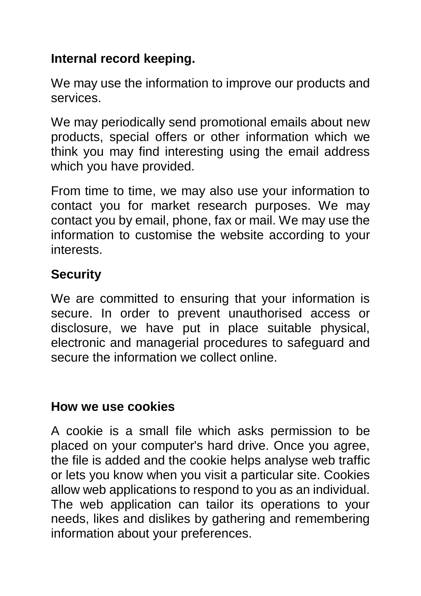### **Internal record keeping.**

We may use the information to improve our products and services.

We may periodically send promotional emails about new products, special offers or other information which we think you may find interesting using the email address which you have provided.

From time to time, we may also use your information to contact you for market research purposes. We may contact you by email, phone, fax or mail. We may use the information to customise the website according to your interests.

## **Security**

We are committed to ensuring that your information is secure. In order to prevent unauthorised access or disclosure, we have put in place suitable physical, electronic and managerial procedures to safeguard and secure the information we collect online.

### **How we use cookies**

A cookie is a small file which asks permission to be placed on your computer's hard drive. Once you agree, the file is added and the cookie helps analyse web traffic or lets you know when you visit a particular site. Cookies allow web applications to respond to you as an individual. The web application can tailor its operations to your needs, likes and dislikes by gathering and remembering information about your preferences.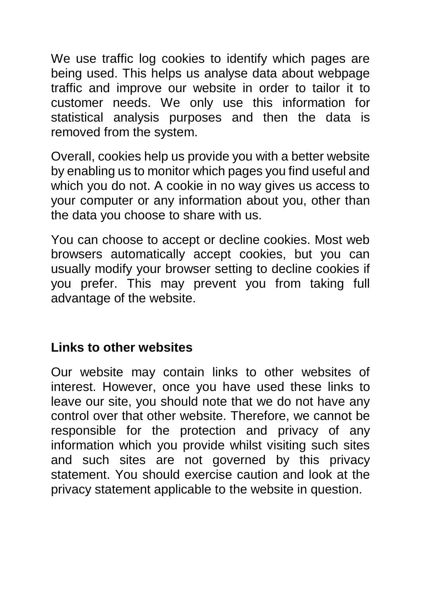We use traffic log cookies to identify which pages are being used. This helps us analyse data about webpage traffic and improve our website in order to tailor it to customer needs. We only use this information for statistical analysis purposes and then the data is removed from the system.

Overall, cookies help us provide you with a better website by enabling us to monitor which pages you find useful and which you do not. A cookie in no way gives us access to your computer or any information about you, other than the data you choose to share with us.

You can choose to accept or decline cookies. Most web browsers automatically accept cookies, but you can usually modify your browser setting to decline cookies if you prefer. This may prevent you from taking full advantage of the website.

### **Links to other websites**

Our website may contain links to other websites of interest. However, once you have used these links to leave our site, you should note that we do not have any control over that other website. Therefore, we cannot be responsible for the protection and privacy of any information which you provide whilst visiting such sites and such sites are not governed by this privacy statement. You should exercise caution and look at the privacy statement applicable to the website in question.